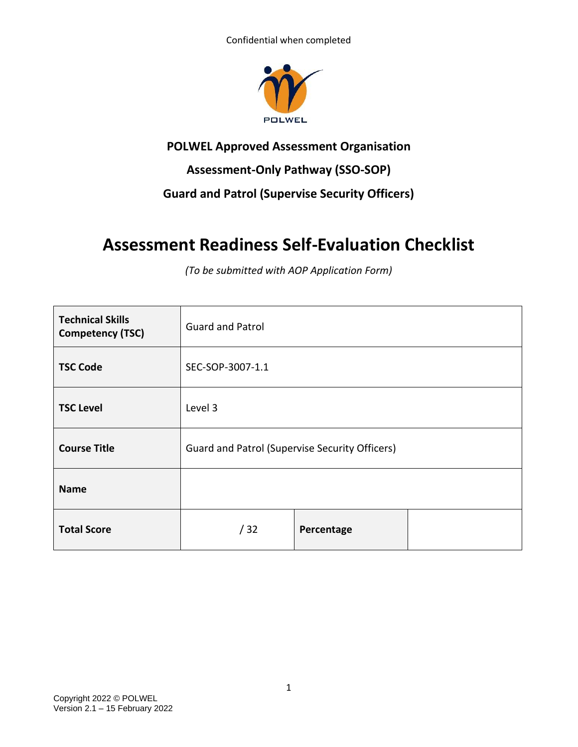

## **POLWEL Approved Assessment Organisation**

## **Assessment-Only Pathway (SSO-SOP)**

## **Guard and Patrol (Supervise Security Officers)**

# **Assessment Readiness Self-Evaluation Checklist**

*(To be submitted with AOP Application Form)*

| <b>Technical Skills</b><br><b>Competency (TSC)</b> | <b>Guard and Patrol</b>                        |            |  |
|----------------------------------------------------|------------------------------------------------|------------|--|
| <b>TSC Code</b>                                    | SEC-SOP-3007-1.1                               |            |  |
| <b>TSC Level</b>                                   | Level 3                                        |            |  |
| <b>Course Title</b>                                | Guard and Patrol (Supervise Security Officers) |            |  |
| <b>Name</b>                                        |                                                |            |  |
| <b>Total Score</b>                                 | /32                                            | Percentage |  |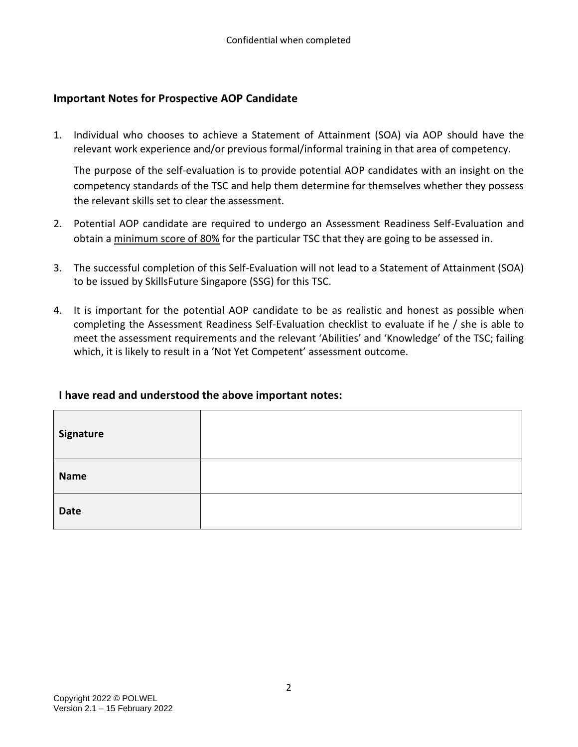### **Important Notes for Prospective AOP Candidate**

1. Individual who chooses to achieve a Statement of Attainment (SOA) via AOP should have the relevant work experience and/or previous formal/informal training in that area of competency.

The purpose of the self-evaluation is to provide potential AOP candidates with an insight on the competency standards of the TSC and help them determine for themselves whether they possess the relevant skills set to clear the assessment.

- 2. Potential AOP candidate are required to undergo an Assessment Readiness Self-Evaluation and obtain a minimum score of 80% for the particular TSC that they are going to be assessed in.
- 3. The successful completion of this Self-Evaluation will not lead to a Statement of Attainment (SOA) to be issued by SkillsFuture Singapore (SSG) for this TSC.
- 4. It is important for the potential AOP candidate to be as realistic and honest as possible when completing the Assessment Readiness Self-Evaluation checklist to evaluate if he / she is able to meet the assessment requirements and the relevant 'Abilities' and 'Knowledge' of the TSC; failing which, it is likely to result in a 'Not Yet Competent' assessment outcome.

#### **I have read and understood the above important notes:**

| Signature   |  |
|-------------|--|
| <b>Name</b> |  |
| Date        |  |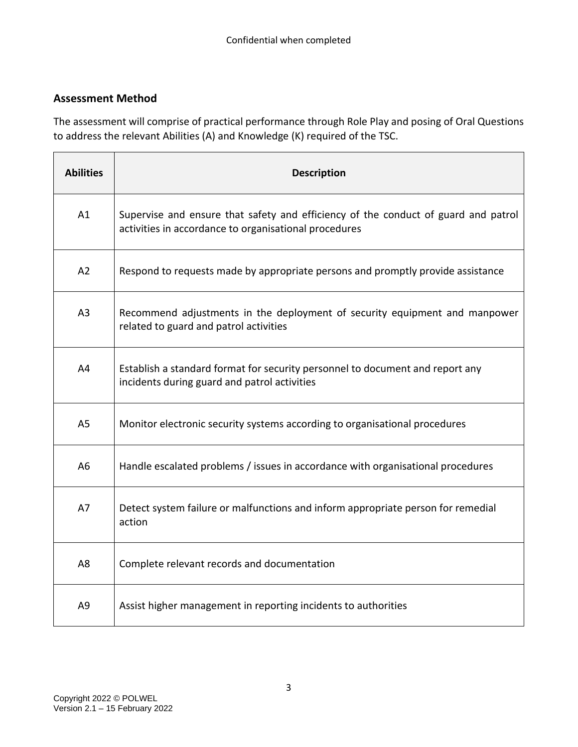### **Assessment Method**

The assessment will comprise of practical performance through Role Play and posing of Oral Questions to address the relevant Abilities (A) and Knowledge (K) required of the TSC.

| <b>Abilities</b> | <b>Description</b>                                                                                                                          |
|------------------|---------------------------------------------------------------------------------------------------------------------------------------------|
| A1               | Supervise and ensure that safety and efficiency of the conduct of guard and patrol<br>activities in accordance to organisational procedures |
| A2               | Respond to requests made by appropriate persons and promptly provide assistance                                                             |
| A <sub>3</sub>   | Recommend adjustments in the deployment of security equipment and manpower<br>related to guard and patrol activities                        |
| A4               | Establish a standard format for security personnel to document and report any<br>incidents during guard and patrol activities               |
| A <sub>5</sub>   | Monitor electronic security systems according to organisational procedures                                                                  |
| A <sub>6</sub>   | Handle escalated problems / issues in accordance with organisational procedures                                                             |
| A7               | Detect system failure or malfunctions and inform appropriate person for remedial<br>action                                                  |
| A8               | Complete relevant records and documentation                                                                                                 |
| A <sub>9</sub>   | Assist higher management in reporting incidents to authorities                                                                              |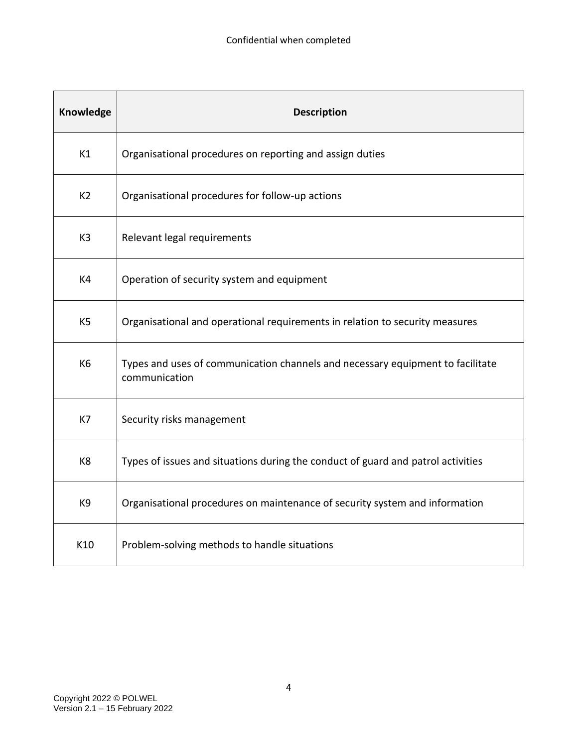| Knowledge      | <b>Description</b>                                                                              |
|----------------|-------------------------------------------------------------------------------------------------|
| K1             | Organisational procedures on reporting and assign duties                                        |
| K <sub>2</sub> | Organisational procedures for follow-up actions                                                 |
| K <sub>3</sub> | Relevant legal requirements                                                                     |
| K4             | Operation of security system and equipment                                                      |
| K <sub>5</sub> | Organisational and operational requirements in relation to security measures                    |
| K6             | Types and uses of communication channels and necessary equipment to facilitate<br>communication |
| K7             | Security risks management                                                                       |
| K8             | Types of issues and situations during the conduct of guard and patrol activities                |
| K9             | Organisational procedures on maintenance of security system and information                     |
| K10            | Problem-solving methods to handle situations                                                    |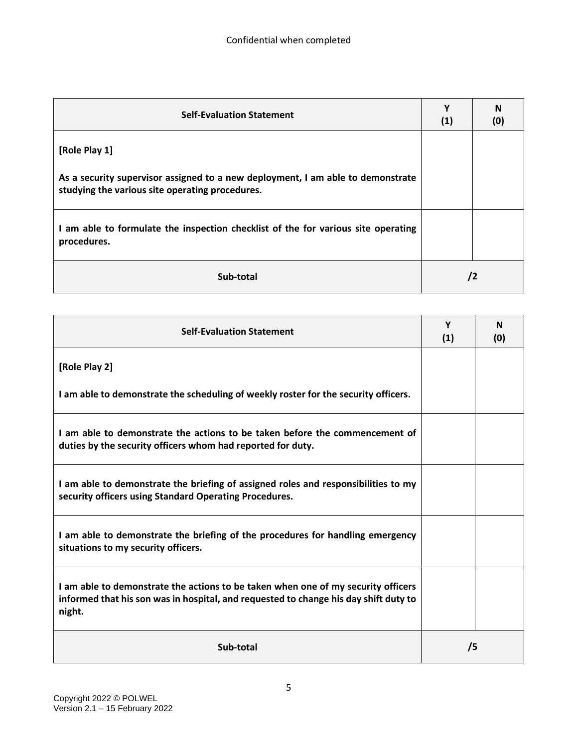| <b>Self-Evaluation Statement</b>                                                                                                   | Υ<br>(1) | N<br>(0) |
|------------------------------------------------------------------------------------------------------------------------------------|----------|----------|
| [Role Play 1]                                                                                                                      |          |          |
| As a security supervisor assigned to a new deployment, I am able to demonstrate<br>studying the various site operating procedures. |          |          |
| I am able to formulate the inspection checklist of the for various site operating<br>procedures.                                   |          |          |
| Sub-total                                                                                                                          | /2       |          |

| <b>Self-Evaluation Statement</b>                                                                                                                                                    | Y<br>(1) | N<br>(0) |
|-------------------------------------------------------------------------------------------------------------------------------------------------------------------------------------|----------|----------|
| [Role Play 2]                                                                                                                                                                       |          |          |
| I am able to demonstrate the scheduling of weekly roster for the security officers.                                                                                                 |          |          |
| I am able to demonstrate the actions to be taken before the commencement of<br>duties by the security officers whom had reported for duty.                                          |          |          |
| I am able to demonstrate the briefing of assigned roles and responsibilities to my<br>security officers using Standard Operating Procedures.                                        |          |          |
| I am able to demonstrate the briefing of the procedures for handling emergency<br>situations to my security officers.                                                               |          |          |
| I am able to demonstrate the actions to be taken when one of my security officers<br>informed that his son was in hospital, and requested to change his day shift duty to<br>night. |          |          |
| Sub-total                                                                                                                                                                           | /5       |          |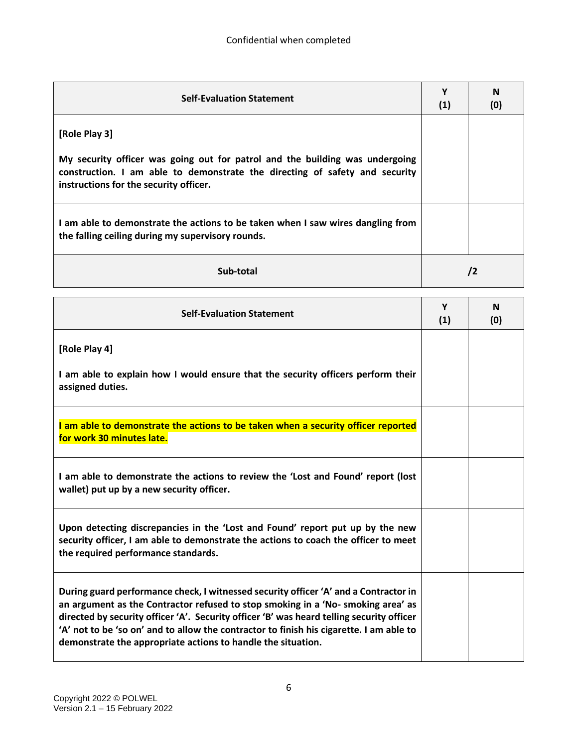| <b>Self-Evaluation Statement</b>                                                                                                                                                                      | Υ<br>(1) | N<br>(0)   |
|-------------------------------------------------------------------------------------------------------------------------------------------------------------------------------------------------------|----------|------------|
| [Role Play 3]                                                                                                                                                                                         |          |            |
| My security officer was going out for patrol and the building was undergoing<br>construction. I am able to demonstrate the directing of safety and security<br>instructions for the security officer. |          |            |
| I am able to demonstrate the actions to be taken when I saw wires dangling from<br>the falling ceiling during my supervisory rounds.                                                                  |          |            |
| Sub-total                                                                                                                                                                                             |          | $\sqrt{2}$ |

| <b>Self-Evaluation Statement</b>                                                                                                                                                                                                                                                                                                                                                                                                 | Y<br>(1) | N<br>(0) |
|----------------------------------------------------------------------------------------------------------------------------------------------------------------------------------------------------------------------------------------------------------------------------------------------------------------------------------------------------------------------------------------------------------------------------------|----------|----------|
| [Role Play 4]                                                                                                                                                                                                                                                                                                                                                                                                                    |          |          |
| I am able to explain how I would ensure that the security officers perform their<br>assigned duties.                                                                                                                                                                                                                                                                                                                             |          |          |
| I am able to demonstrate the actions to be taken when a security officer reported<br>for work 30 minutes late.                                                                                                                                                                                                                                                                                                                   |          |          |
| I am able to demonstrate the actions to review the 'Lost and Found' report (lost<br>wallet) put up by a new security officer.                                                                                                                                                                                                                                                                                                    |          |          |
| Upon detecting discrepancies in the 'Lost and Found' report put up by the new<br>security officer, I am able to demonstrate the actions to coach the officer to meet<br>the required performance standards.                                                                                                                                                                                                                      |          |          |
| During guard performance check, I witnessed security officer 'A' and a Contractor in<br>an argument as the Contractor refused to stop smoking in a 'No- smoking area' as<br>directed by security officer 'A'. Security officer 'B' was heard telling security officer<br>'A' not to be 'so on' and to allow the contractor to finish his cigarette. I am able to<br>demonstrate the appropriate actions to handle the situation. |          |          |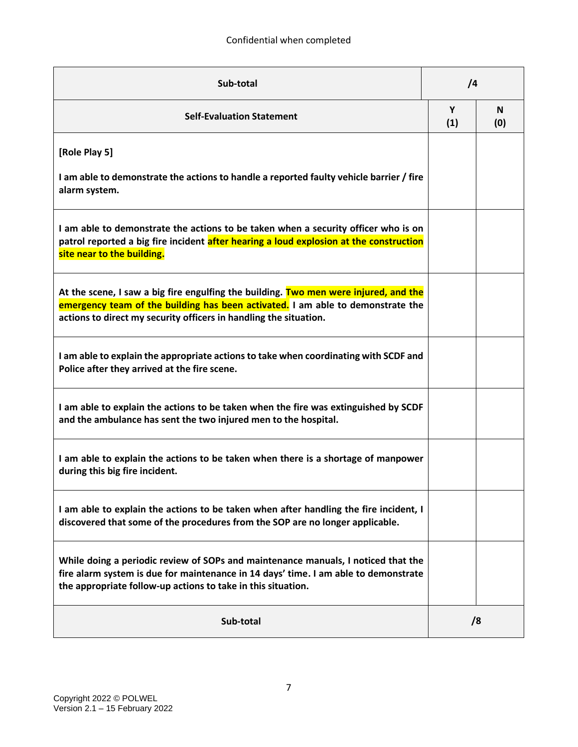| Sub-total                                                                                                                                                                                                                                    |          | $\sqrt{4}$ |  |
|----------------------------------------------------------------------------------------------------------------------------------------------------------------------------------------------------------------------------------------------|----------|------------|--|
| <b>Self-Evaluation Statement</b>                                                                                                                                                                                                             | Υ<br>(1) | N<br>(0)   |  |
| [Role Play 5]<br>I am able to demonstrate the actions to handle a reported faulty vehicle barrier / fire<br>alarm system.                                                                                                                    |          |            |  |
| I am able to demonstrate the actions to be taken when a security officer who is on<br>patrol reported a big fire incident after hearing a loud explosion at the construction<br>site near to the building.                                   |          |            |  |
| At the scene, I saw a big fire engulfing the building. Two men were injured, and the<br>emergency team of the building has been activated. I am able to demonstrate the<br>actions to direct my security officers in handling the situation. |          |            |  |
| I am able to explain the appropriate actions to take when coordinating with SCDF and<br>Police after they arrived at the fire scene.                                                                                                         |          |            |  |
| I am able to explain the actions to be taken when the fire was extinguished by SCDF<br>and the ambulance has sent the two injured men to the hospital.                                                                                       |          |            |  |
| I am able to explain the actions to be taken when there is a shortage of manpower<br>during this big fire incident.                                                                                                                          |          |            |  |
| I am able to explain the actions to be taken when after handling the fire incident, I<br>discovered that some of the procedures from the SOP are no longer applicable.                                                                       |          |            |  |
| While doing a periodic review of SOPs and maintenance manuals, I noticed that the<br>fire alarm system is due for maintenance in 14 days' time. I am able to demonstrate<br>the appropriate follow-up actions to take in this situation.     |          |            |  |
| Sub-total                                                                                                                                                                                                                                    |          | /8         |  |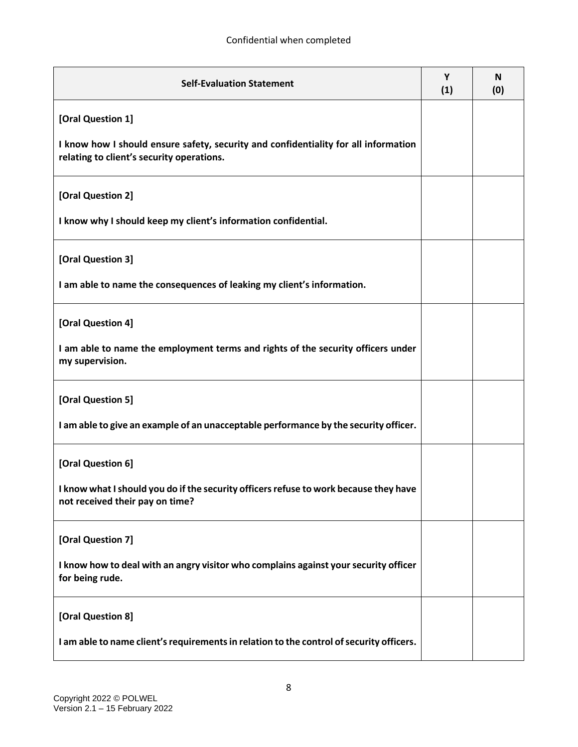| <b>Self-Evaluation Statement</b>                                                                                                 | Y<br>(1) | N<br>(0) |
|----------------------------------------------------------------------------------------------------------------------------------|----------|----------|
| [Oral Question 1]                                                                                                                |          |          |
| I know how I should ensure safety, security and confidentiality for all information<br>relating to client's security operations. |          |          |
| [Oral Question 2]                                                                                                                |          |          |
| I know why I should keep my client's information confidential.                                                                   |          |          |
| [Oral Question 3]                                                                                                                |          |          |
| I am able to name the consequences of leaking my client's information.                                                           |          |          |
| [Oral Question 4]                                                                                                                |          |          |
| I am able to name the employment terms and rights of the security officers under<br>my supervision.                              |          |          |
| [Oral Question 5]                                                                                                                |          |          |
| I am able to give an example of an unacceptable performance by the security officer.                                             |          |          |
| [Oral Question 6]                                                                                                                |          |          |
| I know what I should you do if the security officers refuse to work because they have<br>not received their pay on time?         |          |          |
| [Oral Question 7]                                                                                                                |          |          |
| I know how to deal with an angry visitor who complains against your security officer<br>for being rude.                          |          |          |
| [Oral Question 8]                                                                                                                |          |          |
| I am able to name client's requirements in relation to the control of security officers.                                         |          |          |